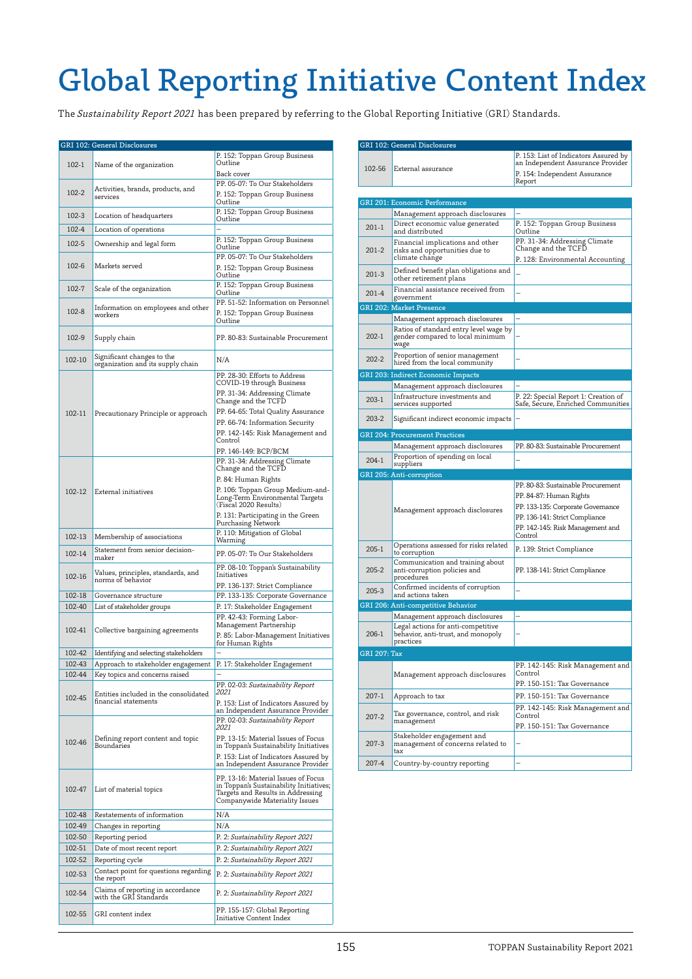## Global Reporting Initiative Content Index

The Sustainability Report 2021 has been prepared by referring to the Global Reporting Initiative (GRI) Standards.

|                  | GRI 102: General Disclosures                                            |                                                                                                                                                                                                                                                                                       |
|------------------|-------------------------------------------------------------------------|---------------------------------------------------------------------------------------------------------------------------------------------------------------------------------------------------------------------------------------------------------------------------------------|
| 102-1            | Name of the organization                                                | P. 152: Toppan Group Business<br>Outline<br>Back cover                                                                                                                                                                                                                                |
| 102-2            | Activities, brands, products, and<br>services                           | PP. 05-07: To Our Stakeholders<br>P. 152: Toppan Group Business<br>Outline                                                                                                                                                                                                            |
| 102-3            | Location of headquarters                                                | P. 152: Toppan Group Business<br>Outline                                                                                                                                                                                                                                              |
| 102-4            | Location of operations                                                  |                                                                                                                                                                                                                                                                                       |
| 102-5            | Ownership and legal form                                                | P. 152: Toppan Group Business                                                                                                                                                                                                                                                         |
|                  |                                                                         | Outline<br>PP. 05-07: To Our Stakeholders                                                                                                                                                                                                                                             |
| 102-6            | Markets served                                                          | P. 152: Toppan Group Business<br>Outline                                                                                                                                                                                                                                              |
| 102-7            | Scale of the organization                                               | P. 152: Toppan Group Business<br>Outline                                                                                                                                                                                                                                              |
| $102 - 8$        | Information on employees and other<br>workers                           | PP. 51-52: Information on Personnel<br>P. 152: Toppan Group Business<br>Outline                                                                                                                                                                                                       |
| 102-9            | Supply chain                                                            | PP. 80-83: Sustainable Procurement                                                                                                                                                                                                                                                    |
| 102-10           | Significant changes to the<br>organization and its supply chain         | N/A                                                                                                                                                                                                                                                                                   |
| 102-11           | Precautionary Principle or approach                                     | PP. 28-30: Efforts to Address<br>COVID-19 through Business<br>PP. 31-34: Addressing Climate<br>Change and the TCFD<br>PP. 64-65: Total Quality Assurance<br>PP. 66-74: Information Security<br>PP. 142-145: Risk Management and<br>Control<br>PP. 146-149: BCP/BCM                    |
| 102-12           | External initiatives                                                    | PP. 31-34: Addressing Climate<br>Change and the TCFD<br>P. 84: Human Rights<br>P. 106: Toppan Group Medium-and-<br>Long-Term Environmental Targets<br>(Fiscal 2020 Results)<br>P. 131: Participating in the Green<br>Purchasing Network                                               |
| 102-13           | Membership of associations                                              | P. 110: Mitigation of Global<br>Warming                                                                                                                                                                                                                                               |
| 102-14           | Statement from senior decision-<br>maker                                | PP. 05-07: To Our Stakeholders                                                                                                                                                                                                                                                        |
| 102-16           | Values, principles, standards, and<br>norms of behavior                 | PP. 08-10: Toppan's Sustainability<br>Initiatives<br>PP. 136-137: Strict Compliance                                                                                                                                                                                                   |
| 102-18           | Governance structure                                                    | PP. 133-135: Corporate Governance                                                                                                                                                                                                                                                     |
| 102-40           | List of stakeholder groups                                              | P. 17: Stakeholder Engagement                                                                                                                                                                                                                                                         |
| 102-41           | Collective bargaining agreements                                        | PP. 42-43: Forming Labor-<br>Management Partnership<br>P. 85: Labor-Management Initiatives<br>for Human Rights                                                                                                                                                                        |
| 102-42           | Identifying and selecting stakeholders                                  |                                                                                                                                                                                                                                                                                       |
| 102-43           | Approach to stakeholder engagement                                      | P. 17: Stakeholder Engagement                                                                                                                                                                                                                                                         |
| 102-44<br>102-45 | Key topics and concerns raised<br>Entities included in the consolidated | PP. 02-03: Sustainability Report<br>2021                                                                                                                                                                                                                                              |
| 102-46           | financial statements<br>Defining report content and topic<br>Boundaries | P. 153: List of Indicators Assured by<br>an Independent Assurance Provider<br>PP. 02-03: Sustainability Report<br>2021<br>PP. 13-15: Material Issues of Focus<br>in Toppan's Sustainability Initiatives<br>P. 153: List of Indicators Assured by<br>an Independent Assurance Provider |
| 102-47           | List of material topics                                                 | PP. 13-16: Material Issues of Focus<br>in Toppan's Sustainability Initiatives;<br>Targets and Results in Addressing<br>Companywide Materiality Issues                                                                                                                                 |
| 102-48           | Restatements of information                                             | N/A                                                                                                                                                                                                                                                                                   |
| 102-49           | Changes in reporting                                                    | N/A                                                                                                                                                                                                                                                                                   |
| 102-50           | Reporting period                                                        | P. 2: Sustainability Report 2021                                                                                                                                                                                                                                                      |
| 102-51           | Date of most recent report                                              | P. 2: Sustainability Report 2021                                                                                                                                                                                                                                                      |
| 102-52           | Reporting cycle                                                         | P. 2: Sustainability Report 2021                                                                                                                                                                                                                                                      |
| 102-53           | Contact point for questions regarding<br>the report                     | P. 2: Sustainability Report 2021                                                                                                                                                                                                                                                      |
| 102-54           | Claims of reporting in accordance<br>with the GRI Standards             | P. 2: Sustainability Report 2021                                                                                                                                                                                                                                                      |
| 102-55           | GRI content index                                                       | PP. 155-157: Global Reporting<br>Initiative Content Index                                                                                                                                                                                                                             |

|                     | GRI 102: General Disclosures                                                                                             |                                                                                                                                                                                     |
|---------------------|--------------------------------------------------------------------------------------------------------------------------|-------------------------------------------------------------------------------------------------------------------------------------------------------------------------------------|
| 102-56              | External assurance                                                                                                       | P. 153: List of Indicators Assured by<br>an Independent Assurance Provider<br>P. 154: Independent Assurance                                                                         |
|                     |                                                                                                                          | Report                                                                                                                                                                              |
|                     | <b>GRI 201: Economic Performance</b>                                                                                     |                                                                                                                                                                                     |
|                     | Management approach disclosures                                                                                          |                                                                                                                                                                                     |
|                     | Direct economic value generated                                                                                          | P. 152: Toppan Group Business                                                                                                                                                       |
| $201-1$             | and distributed                                                                                                          | Outline<br>PP. 31-34: Addressing Climate                                                                                                                                            |
| $201 - 2$           | Financial implications and other<br>risks and opportunities due to<br>climate change                                     | Change and the TCFD<br>P. 128: Environmental Accounting                                                                                                                             |
| $201-3$             | Defined benefit plan obligations and<br>other retirement plans                                                           |                                                                                                                                                                                     |
| $201 - 4$           | Financial assistance received from<br>government                                                                         |                                                                                                                                                                                     |
|                     | <b>GRI 202: Market Presence</b>                                                                                          |                                                                                                                                                                                     |
|                     | Management approach disclosures                                                                                          |                                                                                                                                                                                     |
| $202-1$             | Ratios of standard entry level wage by<br>gender compared to local minimum<br>wage                                       |                                                                                                                                                                                     |
| 202-2               | Proportion of senior management<br>hired from the local community                                                        |                                                                                                                                                                                     |
|                     | <b>GRI 203: Indirect Economic Impacts</b>                                                                                |                                                                                                                                                                                     |
|                     | Management approach disclosures                                                                                          |                                                                                                                                                                                     |
|                     | Infrastructure investments and                                                                                           | P. 22: Special Report 1: Creation of                                                                                                                                                |
| 203-1               | services supported                                                                                                       | Safe, Secure, Enriched Communities                                                                                                                                                  |
| 203-2               | Significant indirect economic impacts                                                                                    |                                                                                                                                                                                     |
|                     | <b>GRI 204: Procurement Practices</b>                                                                                    |                                                                                                                                                                                     |
|                     | Management approach disclosures                                                                                          | PP. 80-83: Sustainable Procurement                                                                                                                                                  |
| $204-1$             | Proportion of spending on local<br>suppliers                                                                             |                                                                                                                                                                                     |
|                     | <b>GRI 205: Anti-corruption</b>                                                                                          |                                                                                                                                                                                     |
|                     | Management approach disclosures                                                                                          | PP. 80-83: Sustainable Procurement<br>PP. 84-87: Human Rights<br>PP. 133-135: Corporate Governance<br>PP. 136-141: Strict Compliance<br>PP. 142-145: Risk Management and<br>Control |
| $205-1$             | Operations assessed for risks related<br>to corruption                                                                   | P. 139: Strict Compliance                                                                                                                                                           |
| $205 - 2$           | Communication and training about<br>anti-corruption policies and<br>procedures                                           | PP. 138-141: Strict Compliance                                                                                                                                                      |
| $205-3$             | Confirmed incidents of corruption                                                                                        |                                                                                                                                                                                     |
|                     | and actions taken                                                                                                        |                                                                                                                                                                                     |
|                     | GRI 206: Anti-competitive Behavior                                                                                       |                                                                                                                                                                                     |
| 206-1               | Management approach disclosures<br>Legal actions for anti-competitive<br>behavior, anti-trust, and monopoly<br>practices |                                                                                                                                                                                     |
| <b>GRI 207: Tax</b> |                                                                                                                          |                                                                                                                                                                                     |
|                     | Management approach disclosures                                                                                          | PP. 142-145: Risk Management and<br>Control<br>PP. 150-151: Tax Governance                                                                                                          |
| $207-1$             | Approach to tax                                                                                                          | PP. 150-151: Tax Governance                                                                                                                                                         |
| $207 - 2$           | Tax governance, control, and risk<br>management                                                                          | PP. 142-145: Risk Management and<br>Control<br>PP. 150-151: Tax Governance                                                                                                          |
|                     |                                                                                                                          |                                                                                                                                                                                     |
| $207 - 3$           | Stakeholder engagement and<br>management of concerns related to<br>tax                                                   |                                                                                                                                                                                     |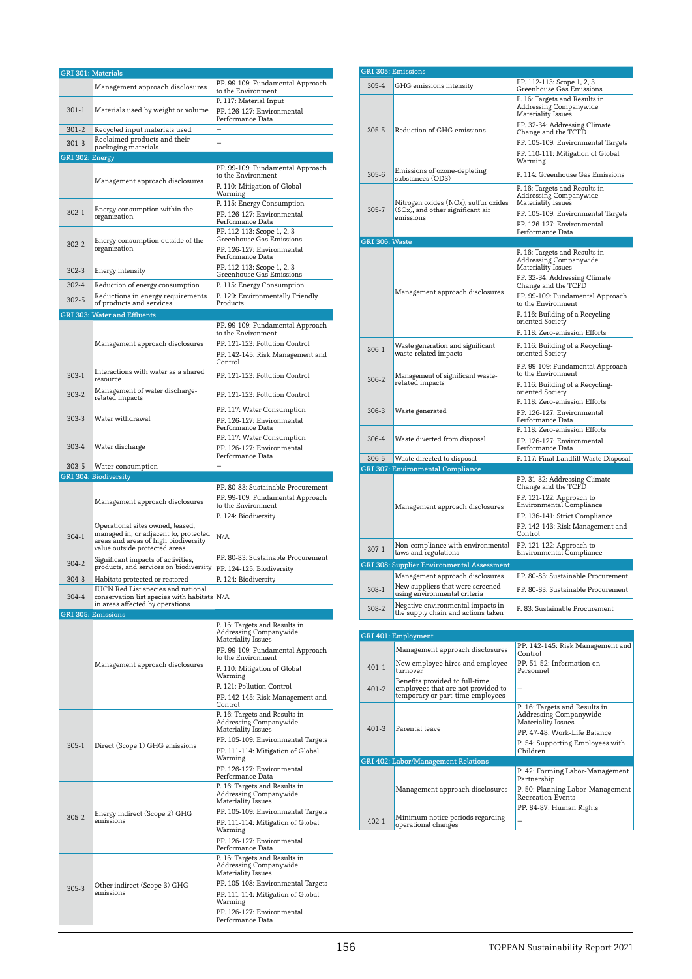|                 | <b>GRI</b> 301: Materials                                                                                         |                                                          |
|-----------------|-------------------------------------------------------------------------------------------------------------------|----------------------------------------------------------|
|                 | Management approach disclosures                                                                                   | PP. 99-109: Fundamental Approach<br>to the Environment   |
|                 |                                                                                                                   | P. 117: Material Input                                   |
| $301 - 1$       | Materials used by weight or volume                                                                                | PP. 126-127: Environmental<br>Performance Data           |
| $301 - 2$       | Recycled input materials used                                                                                     |                                                          |
| $301 - 3$       | Reclaimed products and their<br>packaging materials                                                               |                                                          |
| GRI 302: Energy |                                                                                                                   |                                                          |
|                 |                                                                                                                   | PP. 99-109: Fundamental Approach<br>to the Environment   |
|                 | Management approach disclosures                                                                                   | P. 110: Mitigation of Global                             |
|                 |                                                                                                                   | Warming<br>P. 115: Energy Consumption                    |
| $302-1$         | Energy consumption within the<br>organization                                                                     | PP. 126-127: Environmental                               |
|                 |                                                                                                                   | Performance Data<br>PP. 112-113: Scope 1, 2, 3           |
| $302 - 2$       | Energy consumption outside of the                                                                                 | Greenhouse Gas Emissions                                 |
|                 | organization                                                                                                      | PP. 126-127: Environmental<br>Performance Data           |
| $302 - 3$       | Energy intensity                                                                                                  | PP. 112-113: Scope 1, 2, 3                               |
| 302-4           | Reduction of energy consumption                                                                                   | Greenhouse Gas Emissions<br>P. 115: Energy Consumption   |
| $302 - 5$       | Reductions in energy requirements                                                                                 | P. 129: Environmentally Friendly                         |
|                 | of products and services                                                                                          | Products                                                 |
|                 | <b>GRI 303: Water and Effluents</b>                                                                               |                                                          |
|                 |                                                                                                                   | PP. 99-109: Fundamental Approach<br>to the Environment   |
|                 | Management approach disclosures                                                                                   | PP. 121-123: Pollution Control                           |
|                 |                                                                                                                   | PP. 142-145: Risk Management and<br>Control              |
| 303-1           | Interactions with water as a shared<br>resource                                                                   | PP. 121-123: Pollution Control                           |
|                 | Management of water discharge-                                                                                    |                                                          |
| 303-2           | related impacts                                                                                                   | PP. 121-123: Pollution Control                           |
| $303-3$         | Water withdrawal                                                                                                  | PP. 117: Water Consumption<br>PP. 126-127: Environmental |
|                 |                                                                                                                   | Performance Data                                         |
| $303-4$         |                                                                                                                   | PP. 117: Water Consumption                               |
|                 | Water discharge                                                                                                   | PP. 126-127: Environmental<br>Performance Data           |
| $303 - 5$       | Water consumption                                                                                                 |                                                          |
|                 | <b>GRI 304: Biodiversity</b>                                                                                      | PP. 80-83: Sustainable Procurement                       |
|                 |                                                                                                                   |                                                          |
|                 |                                                                                                                   |                                                          |
|                 | Management approach disclosures                                                                                   | PP. 99-109: Fundamental Approach<br>to the Environment   |
|                 |                                                                                                                   | P. 124: Biodiversity                                     |
| $304-1$         | Operational sites owned, leased,<br>managed in, or adjacent to, protected<br>areas and areas of high biodiversity | N/A                                                      |
|                 | value outside protected areas                                                                                     |                                                          |
| $304 - 2$       | Significant impacts of activities,<br>products, and services on biodiversity                                      | PP. 80-83: Sustainable Procurement                       |
| $304 - 3$       | Habitats protected or restored                                                                                    | PP. 124-125: Biodiversity<br>P. 124: Biodiversity        |
|                 | <b>IUCN</b> Red List species and national                                                                         |                                                          |
| 304-4           | conservation list species with habitats N/A<br>in areas affected by operations                                    |                                                          |
|                 | GRI 305: Emissions                                                                                                |                                                          |
|                 |                                                                                                                   | P. 16: Targets and Results in<br>Addressing Companywide  |
|                 |                                                                                                                   | <b>Materiality Issues</b>                                |
|                 |                                                                                                                   | PP. 99-109: Fundamental Approach<br>to the Environment   |
|                 | Management approach disclosures                                                                                   | P. 110: Mitigation of Global<br>Warming                  |
|                 |                                                                                                                   | P. 121: Pollution Control                                |
|                 |                                                                                                                   | PP. 142-145: Risk Management and                         |
|                 |                                                                                                                   | Control<br>P. 16: Targets and Results in                 |
|                 |                                                                                                                   | Addressing Companywide<br>Materiality Issues             |
|                 |                                                                                                                   | PP. 105-109: Environmental Targets                       |
| $305-1$         | Direct (Scope 1) GHG emissions                                                                                    | PP. 111-114: Mitigation of Global                        |
|                 |                                                                                                                   | Warming<br>PP. 126-127: Environmental                    |
|                 |                                                                                                                   | Performance Data                                         |
|                 |                                                                                                                   | P. 16: Targets and Results in<br>Addressing Companywide  |
|                 |                                                                                                                   | Materiality Issues                                       |
| $305 - 2$       | Energy indirect (Scope 2) GHG<br>emissions                                                                        | PP. 105-109: Environmental Targets                       |
|                 |                                                                                                                   | PP. 111-114: Mitigation of Global<br>Warming             |
|                 |                                                                                                                   | PP. 126-127: Environmental<br>Performance Data           |
|                 |                                                                                                                   | P. 16: Targets and Results in                            |
|                 |                                                                                                                   | Addressing Companywide<br>Materiality Issues             |
|                 | Other indirect (Scope 3) GHG                                                                                      | PP. 105-108: Environmental Targets                       |
| $305-3$         | emissions                                                                                                         | PP. 111-114: Mitigation of Global                        |
|                 |                                                                                                                   | Warming<br>PP. 126-127: Environmental                    |

| <b>GRI 305: Emissions</b> |                                                                          |                                                                                      |
|---------------------------|--------------------------------------------------------------------------|--------------------------------------------------------------------------------------|
| 305-4                     | GHG emissions intensity                                                  | PP. 112-113: Scope 1, 2, 3<br>Greenhouse Gas Emissions                               |
|                           |                                                                          | P. 16: Targets and Results in<br>Addressing Companywide<br>Materiality Issues        |
| 305-5                     | Reduction of GHG emissions                                               | PP. 32-34: Addressing Climate<br>Change and the TCFD                                 |
|                           |                                                                          | PP. 105-109: Environmental Targets<br>PP. 110-111: Mitigation of Global              |
|                           |                                                                          | Warming                                                                              |
| 305-6                     | Emissions of ozone-depleting<br>substances (ODS)                         | P. 114: Greenhouse Gas Emissions                                                     |
| 305-7                     | Nitrogen oxides (NOx), sulfur oxides<br>(SOx), and other significant air | P. 16: Targets and Results in<br>Addressing Companywide<br>Materiality Issues        |
|                           | emissions                                                                | PP. 105-109: Environmental Targets<br>PP. 126-127: Environmental                     |
|                           |                                                                          | Performance Data                                                                     |
| GRI 306: Waste            |                                                                          |                                                                                      |
|                           |                                                                          | P. 16: Targets and Results in<br>Addressing Companywide<br><b>Materiality Issues</b> |
|                           |                                                                          | PP. 32-34: Addressing Climate<br>Change and the TCFD                                 |
|                           | Management approach disclosures                                          | PP. 99-109: Fundamental Approach<br>to the Environment                               |
|                           |                                                                          | P. 116: Building of a Recycling-<br>oriented Society                                 |
|                           |                                                                          | P. 118: Zero-emission Efforts                                                        |
| 306-1                     | Waste generation and significant<br>waste-related impacts                | P. 116: Building of a Recycling-<br>oriented Society                                 |
|                           | Management of significant waste-                                         | PP. 99-109: Fundamental Approach<br>to the Environment                               |
| 306-2                     | related impacts                                                          | P. 116: Building of a Recycling-<br>oriented Society                                 |
|                           |                                                                          | P. 118: Zero-emission Efforts                                                        |
| $306-3$                   | Waste generated                                                          | PP. 126-127: Environmental<br>Performance Data                                       |
|                           |                                                                          | P. 118: Zero-emission Efforts                                                        |
| 306-4                     | Waste diverted from disposal                                             | PP. 126-127: Environmental<br>Performance Data                                       |
| 306-5                     | Waste directed to disposal                                               | P. 117: Final Landfill Waste Disposal                                                |
|                           | <b>GRI 307: Environmental Compliance</b>                                 |                                                                                      |
|                           |                                                                          | PP. 31-32: Addressing Climate<br>Change and the TCFD                                 |
|                           | Management approach disclosures                                          | PP. 121-122: Approach to<br>Environmental Compliance                                 |
|                           |                                                                          | PP. 136-141: Strict Compliance                                                       |
|                           |                                                                          | PP. 142-143: Risk Management and<br>Control                                          |
| $307-1$                   | Non-compliance with environmental<br>laws and regulations                | PP. 121-122: Approach to<br>Environmental Compliance                                 |
|                           | GRI 308: Supplier Environmental Assessment                               |                                                                                      |
|                           | Management approach disclosures                                          | PP. 80-83: Sustainable Procurement                                                   |
| 308-1                     | New suppliers that were screened<br>using environmental criteria         | PP. 80-83: Sustainable Procurement                                                   |
| 308-2                     | Negative environmental impacts in<br>the supply chain and actions taken  | P. 83: Sustainable Procurement                                                       |
|                           |                                                                          |                                                                                      |

|           | GRI 401: Employment                                                                                      |                                                                               |
|-----------|----------------------------------------------------------------------------------------------------------|-------------------------------------------------------------------------------|
|           | Management approach disclosures                                                                          | PP. 142-145: Risk Management and<br>Control                                   |
| $401 - 1$ | New employee hires and employee<br>turnover                                                              | PP. 51-52: Information on<br>Personnel                                        |
| $401 - 2$ | Benefits provided to full-time<br>employees that are not provided to<br>temporary or part-time employees |                                                                               |
|           | Parental leave                                                                                           | P. 16: Targets and Results in<br>Addressing Companywide<br>Materiality Issues |
| $401 - 3$ |                                                                                                          | PP. 47-48: Work-Life Balance                                                  |
|           |                                                                                                          | P. 54: Supporting Employees with<br>Children                                  |
|           | <b>GRI 402: Labor/Management Relations</b>                                                               |                                                                               |
|           |                                                                                                          | P. 42: Forming Labor-Management<br>Partnership                                |
|           | Management approach disclosures                                                                          | P. 50: Planning Labor-Management<br><b>Recreation Events</b>                  |
|           |                                                                                                          | PP. 84-87: Human Rights                                                       |
| $402 - 1$ | Minimum notice periods regarding<br>operational changes                                                  |                                                                               |